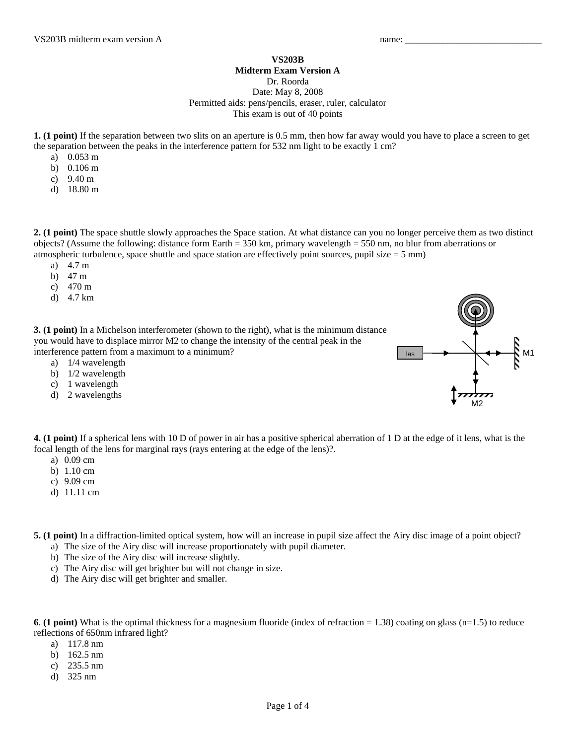**VS203B** 

## **Midterm Exam Version A**

Dr. Roorda

Date: May 8, 2008 Permitted aids: pens/pencils, eraser, ruler, calculator This exam is out of 40 points

**1. (1 point)** If the separation between two slits on an aperture is 0.5 mm, then how far away would you have to place a screen to get the separation between the peaks in the interference pattern for 532 nm light to be exactly 1 cm?

- a) 0.053 m
- b) 0.106 m
- c) 9.40 m
- d) 18.80 m

**2. (1 point)** The space shuttle slowly approaches the Space station. At what distance can you no longer perceive them as two distinct objects? (Assume the following: distance form Earth = 350 km, primary wavelength = 550 nm, no blur from aberrations or atmospheric turbulence, space shuttle and space station are effectively point sources, pupil size  $= 5$  mm)

- a) 4.7 m
- b) 47 m
- c) 470 m
- d) 4.7 km

**3. (1 point)** In a Michelson interferometer (shown to the right), what is the minimum distance you would have to displace mirror M2 to change the intensity of the central peak in the interference pattern from a maximum to a minimum?

- a) 1/4 wavelength
- b) 1/2 wavelength
- c) 1 wavelength
- d) 2 wavelengths



**4. (1 point)** If a spherical lens with 10 D of power in air has a positive spherical aberration of 1 D at the edge of it lens, what is the focal length of the lens for marginal rays (rays entering at the edge of the lens)?.

- a) 0.09 cm
- b) 1.10 cm
- c) 9.09 cm
- d) 11.11 cm

**5. (1 point)** In a diffraction-limited optical system, how will an increase in pupil size affect the Airy disc image of a point object?

- a) The size of the Airy disc will increase proportionately with pupil diameter.
- b) The size of the Airy disc will increase slightly.
- c) The Airy disc will get brighter but will not change in size.
- d) The Airy disc will get brighter and smaller.

**6**. **(1 point)** What is the optimal thickness for a magnesium fluoride (index of refraction = 1.38) coating on glass (n=1.5) to reduce reflections of 650nm infrared light?

- a) 117.8 nm
- b) 162.5 nm
- c) 235.5 nm
- d) 325 nm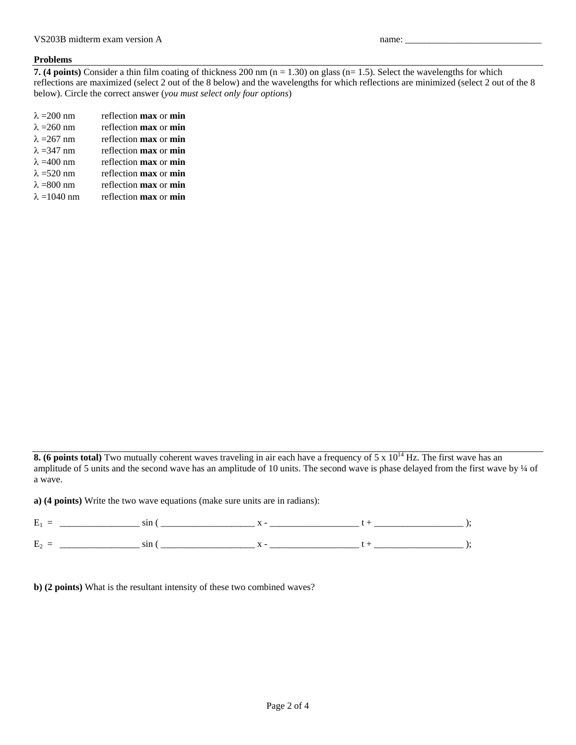## **Problems**

**7. (4 points)** Consider a thin film coating of thickness 200 nm  $(n = 1.30)$  on glass  $(n = 1.5)$ . Select the wavelengths for which reflections are maximized (select 2 out of the 8 below) and the wavelengths for which reflections are minimized (select 2 out of the 8 below). Circle the correct answer (*you must select only four options*)

| $\lambda = 200$ nm  | reflection <b>max</b> or <b>min</b> |
|---------------------|-------------------------------------|
| $\lambda = 260$ nm  | reflection <b>max</b> or <b>min</b> |
| $\lambda = 267$ nm  | reflection <b>max</b> or <b>min</b> |
| $\lambda = 347$ nm  | reflection <b>max</b> or <b>min</b> |
| $\lambda = 400$ nm  | reflection <b>max</b> or <b>min</b> |
| $\lambda$ =520 nm   | reflection max or min               |
| $\lambda = 800$ nm  | reflection <b>max</b> or <b>min</b> |
| $\lambda = 1040$ nm | reflection <b>max</b> or <b>min</b> |
|                     |                                     |

**8. (6 points total)** Two mutually coherent waves traveling in air each have a frequency of 5 x 10<sup>14</sup> Hz. The first wave has an amplitude of 5 units and the second wave has an amplitude of 10 units. The second wave is phase delayed from the first wave by ¼ of a wave.

**a) (4 points)** Write the two wave equations (make sure units are in radians):

| $\overline{\phantom{a}}$<br>►<br>- | .           |  |  |
|------------------------------------|-------------|--|--|
| $\sim$<br>. .                      | <b>UIII</b> |  |  |

**b) (2 points)** What is the resultant intensity of these two combined waves?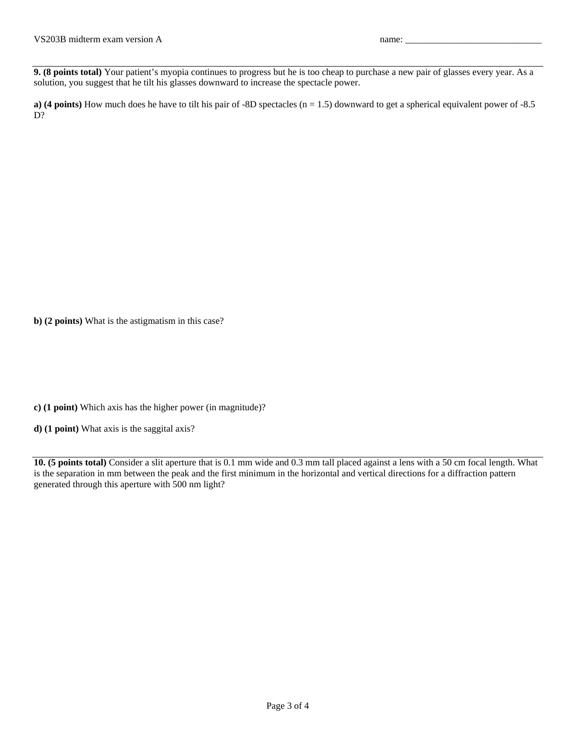**9. (8 points total)** Your patient's myopia continues to progress but he is too cheap to purchase a new pair of glasses every year. As a solution, you suggest that he tilt his glasses downward to increase the spectacle power.

**a)** (4 points) How much does he have to tilt his pair of -8D spectacles  $(n = 1.5)$  downward to get a spherical equivalent power of -8.5 D?

**b) (2 points)** What is the astigmatism in this case?

**c) (1 point)** Which axis has the higher power (in magnitude)?

**d) (1 point)** What axis is the saggital axis?

**10. (5 points total)** Consider a slit aperture that is 0.1 mm wide and 0.3 mm tall placed against a lens with a 50 cm focal length. What is the separation in mm between the peak and the first minimum in the horizontal and vertical directions for a diffraction pattern generated through this aperture with 500 nm light?